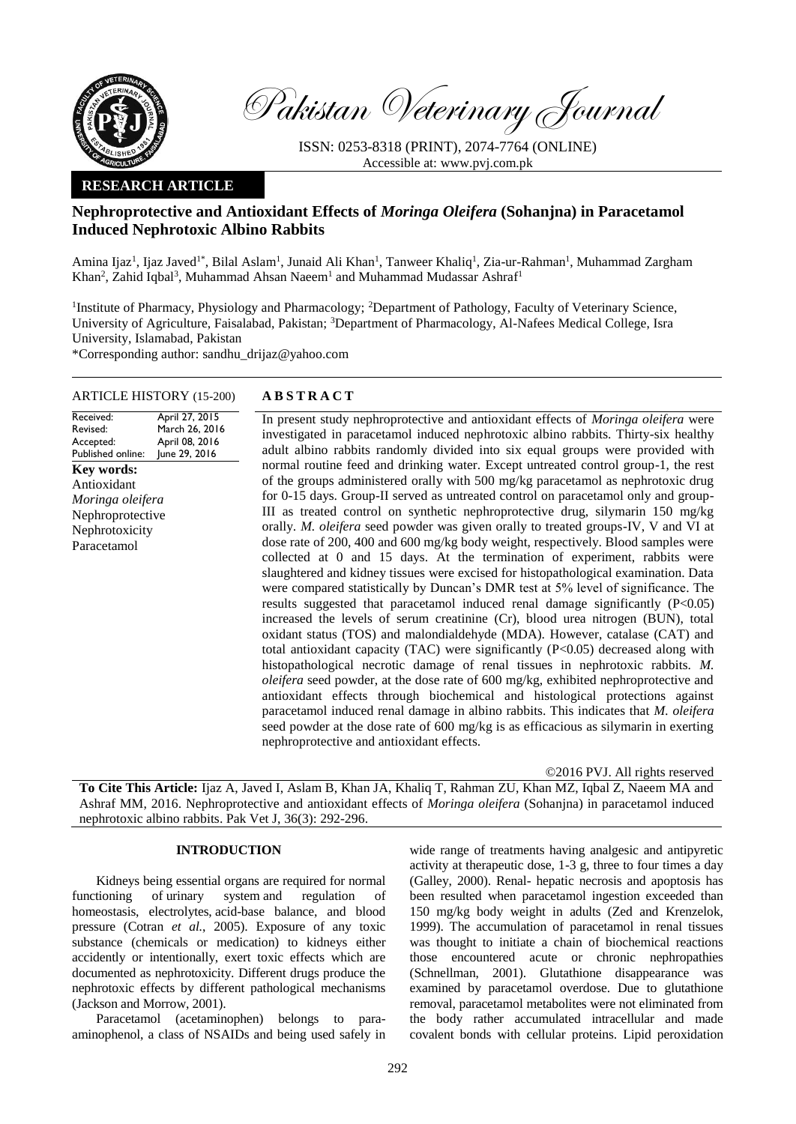

Pakistan Veterinary Journal

ISSN: 0253-8318 (PRINT), 2074-7764 (ONLINE) Accessible at: [www.pvj.com.pk](http://www.pvj.com.pk/)

# **RESEARCH ARTICLE**

# **Nephroprotective and Antioxidant Effects of** *Moringa Oleifera* **(Sohanjna) in Paracetamol Induced Nephrotoxic Albino Rabbits**

Amina Ijaz<sup>1</sup>, Ijaz Javed<sup>1\*</sup>, Bilal Aslam<sup>1</sup>, Junaid Ali Khan<sup>1</sup>, Tanweer Khaliq<sup>1</sup>, Zia-ur-Rahman<sup>1</sup>, Muhammad Zargham Khan<sup>2</sup>, Zahid Iqbal<sup>3</sup>, Muhammad Ahsan Naeem<sup>1</sup> and Muhammad Mudassar Ashraf<sup>1</sup>

<sup>1</sup>Institute of Pharmacy, Physiology and Pharmacology; <sup>2</sup>Department of Pathology, Faculty of Veterinary Science, University of Agriculture, Faisalabad, Pakistan; <sup>3</sup>Department of Pharmacology, Al-Nafees Medical College, Isra University, Islamabad, Pakistan

\*Corresponding author: sandhu\_drijaz@yahoo.com

## ARTICLE HISTORY (15-200) **A B S T R A C T**

Received: Revised: Accepted: Published online: April 27, 2015 March 26, 2016 April 08, 2016 June 29, 2016 **Key words:**  Antioxidant *Moringa oleifera* Nephroprotective Nephrotoxicity Paracetamol

In present study nephroprotective and antioxidant effects of *Moringa oleifera* were investigated in paracetamol induced nephrotoxic albino rabbits. Thirty-six healthy adult albino rabbits randomly divided into six equal groups were provided with normal routine feed and drinking water. Except untreated control group-1, the rest of the groups administered orally with 500 mg/kg paracetamol as nephrotoxic drug for 0-15 days. Group-II served as untreated control on paracetamol only and group-III as treated control on synthetic nephroprotective drug, silymarin 150 mg/kg orally. *M. oleifera* seed powder was given orally to treated groups-IV, V and VI at dose rate of 200, 400 and 600 mg/kg body weight, respectively. Blood samples were collected at 0 and 15 days. At the termination of experiment, rabbits were slaughtered and kidney tissues were excised for histopathological examination. Data were compared statistically by Duncan's DMR test at 5% level of significance. The results suggested that paracetamol induced renal damage significantly (P<0.05) increased the levels of serum creatinine (Cr), blood urea nitrogen (BUN), total oxidant status (TOS) and malondialdehyde (MDA). However, catalase (CAT) and total antioxidant capacity (TAC) were significantly (P<0.05) decreased along with histopathological necrotic damage of renal tissues in nephrotoxic rabbits. *M. oleifera* seed powder, at the dose rate of 600 mg/kg, exhibited nephroprotective and antioxidant effects through biochemical and histological protections against paracetamol induced renal damage in albino rabbits. This indicates that *M. oleifera* seed powder at the dose rate of 600 mg/kg is as efficacious as silymarin in exerting nephroprotective and antioxidant effects.

©2016 PVJ. All rights reserved

**To Cite This Article:** Ijaz A, Javed I, Aslam B, Khan JA, Khaliq T, Rahman ZU, Khan MZ, Iqbal Z, Naeem MA and Ashraf MM, 2016. Nephroprotective and antioxidant effects of *Moringa oleifera* (Sohanjna) in paracetamol induced nephrotoxic albino rabbits. Pak Vet J, 36(3): 292-296.

### **INTRODUCTION**

Kidneys being essential organs are required for normal functioning of [urinary system](http://en.wikipedia.org/wiki/Urinary_system) and regulation of homeostasis, [electrolytes,](http://en.wikipedia.org/wiki/Electrolyte) [acid-base balance,](http://en.wikipedia.org/wiki/Acid-base_balance) and [blood](http://en.wikipedia.org/wiki/Blood_pressure)  [pressure \(Cotran](http://en.wikipedia.org/wiki/Blood_pressure) *et al.*, 2005). Exposure of any toxic substance (chemicals or medication) to kidneys either accidently or intentionally, exert toxic effects which are documented as nephrotoxicity. Different drugs produce the nephrotoxic effects by different pathological mechanisms (Jackson and Morrow, 2001).

Paracetamol (acetaminophen) belongs to paraaminophenol, a class of NSAIDs and being used safely in

wide range of treatments having analgesic and antipyretic activity at therapeutic dose, 1-3 g, three to four times a day (Galley, 2000). Renal- hepatic necrosis and apoptosis has been resulted when paracetamol ingestion exceeded than 150 mg/kg body weight in adults (Zed and Krenzelok, 1999). The accumulation of paracetamol in renal tissues was thought to initiate a chain of biochemical reactions those encountered acute or chronic nephropathies (Schnellman, 2001). Glutathione disappearance was examined by paracetamol overdose. Due to glutathione removal, paracetamol metabolites were not eliminated from the body rather accumulated intracellular and made covalent bonds with cellular proteins. Lipid peroxidation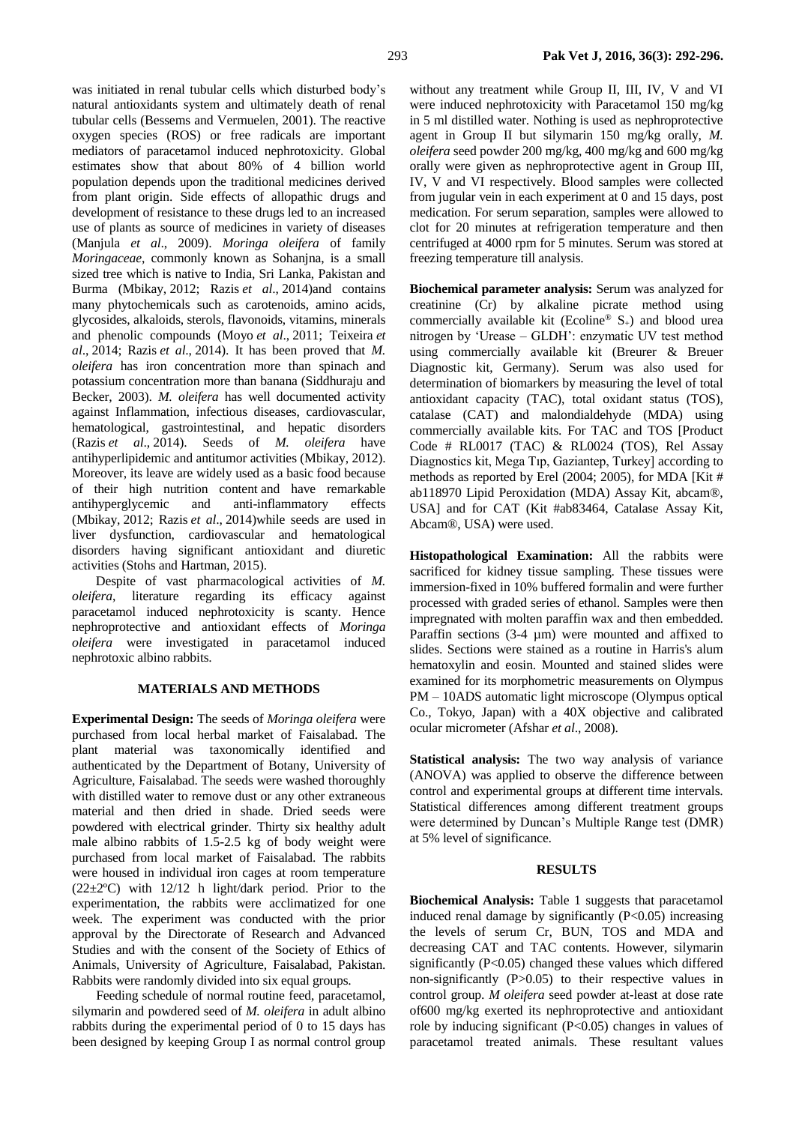was initiated in renal tubular cells which disturbed body's natural antioxidants system and ultimately death of renal tubular cells (Bessems and Vermuelen, 2001). The reactive oxygen species (ROS) or free radicals are important mediators of paracetamol induced nephrotoxicity. Global estimates show that about 80% of 4 billion world population depends upon the traditional medicines derived from plant origin. Side effects of allopathic drugs and development of resistance to these drugs led to an increased use of plants as source of medicines in variety of diseases (Manjula *et al*., 2009). *Moringa oleifera* of family *Moringaceae*, commonly known as Sohanjna, is a small sized tree which is native to India, Sri Lanka, Pakistan and Burma (Mbikay, [2012;](http://onlinelibrary.wiley.com/doi/10.1002/ptr.5325/full#ptr5325-bib-0037) Razis *et al*., [2014\)](http://onlinelibrary.wiley.com/doi/10.1002/ptr.5325/full#ptr5325-bib-0052)and contains many phytochemicals such as carotenoids, amino acids, glycosides, alkaloids, sterols, flavonoids, vitamins, minerals and phenolic compounds (Moyo *et al*., [2011;](http://onlinelibrary.wiley.com/doi/10.1002/ptr.5325/full#ptr5325-bib-0038) Teixeira *et al*., [2014;](http://onlinelibrary.wiley.com/doi/10.1002/ptr.5325/full#ptr5325-bib-0068) Razis *et al*., [2014\)](http://onlinelibrary.wiley.com/doi/10.1002/ptr.5325/full#ptr5325-bib-0052). It has been proved that *M. oleifera* has iron concentration more than spinach and potassium concentration more than banana (Siddhuraju and Becker, 2003). *M. oleifera* has well documented activity against Inflammation, infectious diseases, cardiovascular, hematological, gastrointestinal, and hepatic disorders (Razis *et al*., [2014\)](http://onlinelibrary.wiley.com/doi/10.1002/ptr.5325/full#ptr5325-bib-0052). Seeds of *M. oleifera* have antihyperlipidemic and antitumor activities (Mbikay[, 2012\)](http://onlinelibrary.wiley.com/doi/10.1002/ptr.5325/full#ptr5325-bib-0037). Moreover, its leave are widely used as a basic food because of their high nutrition content and have remarkable antihyperglycemic and anti-inflammatory effects (Mbikay, [2012;](http://onlinelibrary.wiley.com/doi/10.1002/ptr.5325/full#ptr5325-bib-0037) Razis *et al*., [2014\)](http://onlinelibrary.wiley.com/doi/10.1002/ptr.5325/full#ptr5325-bib-0052)while seeds are used in liver dysfunction, cardiovascular and hematological disorders having significant antioxidant and diuretic activities (Stohs and Hartman, 2015).

Despite of vast pharmacological activities of *M. oleifera*, literature regarding its efficacy against paracetamol induced nephrotoxicity is scanty. Hence nephroprotective and antioxidant effects of *Moringa oleifera* were investigated in paracetamol induced nephrotoxic albino rabbits.

#### **MATERIALS AND METHODS**

**Experimental Design:** The seeds of *Moringa oleifera* were purchased from local herbal market of Faisalabad. The plant material was taxonomically identified and authenticated by the Department of Botany, University of Agriculture, Faisalabad. The seeds were washed thoroughly with distilled water to remove dust or any other extraneous material and then dried in shade. Dried seeds were powdered with electrical grinder. Thirty six healthy adult male albino rabbits of 1.5-2.5 kg of body weight were purchased from local market of Faisalabad. The rabbits were housed in individual iron cages at room temperature  $(22\pm2$ <sup>o</sup>C) with 12/12 h light/dark period. Prior to the experimentation, the rabbits were acclimatized for one week. The experiment was conducted with the prior approval by the Directorate of Research and Advanced Studies and with the consent of the Society of Ethics of Animals, University of Agriculture, Faisalabad, Pakistan. Rabbits were randomly divided into six equal groups.

Feeding schedule of normal routine feed, paracetamol, silymarin and powdered seed of *M. oleifera* in adult albino rabbits during the experimental period of 0 to 15 days has been designed by keeping Group I as normal control group

without any treatment while Group II, III, IV, V and VI were induced nephrotoxicity with Paracetamol 150 mg/kg in 5 ml distilled water. Nothing is used as nephroprotective agent in Group II but silymarin 150 mg/kg orally, *M. oleifera* seed powder 200 mg/kg, 400 mg/kg and 600 mg/kg orally were given as nephroprotective agent in Group III, IV, V and VI respectively. Blood samples were collected from jugular vein in each experiment at 0 and 15 days, post medication. For serum separation, samples were allowed to clot for 20 minutes at refrigeration temperature and then centrifuged at 4000 rpm for 5 minutes. Serum was stored at freezing temperature till analysis.

**Biochemical parameter analysis:** Serum was analyzed for creatinine (Cr) by alkaline picrate method using commercially available kit (Ecoline®  $S_{+}$ ) and blood urea nitrogen by 'Urease – GLDH': enzymatic UV test method using commercially available kit (Breurer & Breuer Diagnostic kit, Germany). Serum was also used for determination of biomarkers by measuring the level of total antioxidant capacity (TAC), total oxidant status (TOS), catalase (CAT) and malondialdehyde (MDA) using commercially available kits. For TAC and TOS [Product Code # RL0017 (TAC) & RL0024 (TOS), Rel Assay Diagnostics kit, Mega Tıp, Gaziantep, Turkey] according to methods as reported by Erel (2004; 2005), for MDA [Kit # ab118970 Lipid Peroxidation (MDA) Assay Kit, abcam®, USA] and for CAT (Kit #ab83464, Catalase Assay Kit, Abcam®, USA) were used.

**Histopathological Examination:** All the rabbits were sacrificed for kidney tissue sampling. These tissues were immersion-fixed in 10% buffered formalin and were further processed with graded series of ethanol. Samples were then impregnated with molten paraffin wax and then embedded. Paraffin sections (3-4  $\mu$ m) were mounted and affixed to slides. Sections were stained as a routine in Harris's alum hematoxylin and eosin. Mounted and stained slides were examined for its morphometric measurements on Olympus PM – 10ADS automatic light microscope (Olympus optical Co., Tokyo, Japan) with a 40X objective and calibrated ocular micrometer (Afshar *et al*., 2008).

**Statistical analysis:** The two way analysis of variance (ANOVA) was applied to observe the difference between control and experimental groups at different time intervals. Statistical differences among different treatment groups were determined by Duncan's Multiple Range test (DMR) at 5% level of significance.

### **RESULTS**

**Biochemical Analysis:** Table 1 suggests that paracetamol induced renal damage by significantly  $(P<0.05)$  increasing the levels of serum Cr, BUN, TOS and MDA and decreasing CAT and TAC contents. However, silymarin significantly  $(P<0.05)$  changed these values which differed non-significantly (P>0.05) to their respective values in control group. *M oleifera* seed powder at-least at dose rate of600 mg/kg exerted its nephroprotective and antioxidant role by inducing significant (P<0.05) changes in values of paracetamol treated animals. These resultant values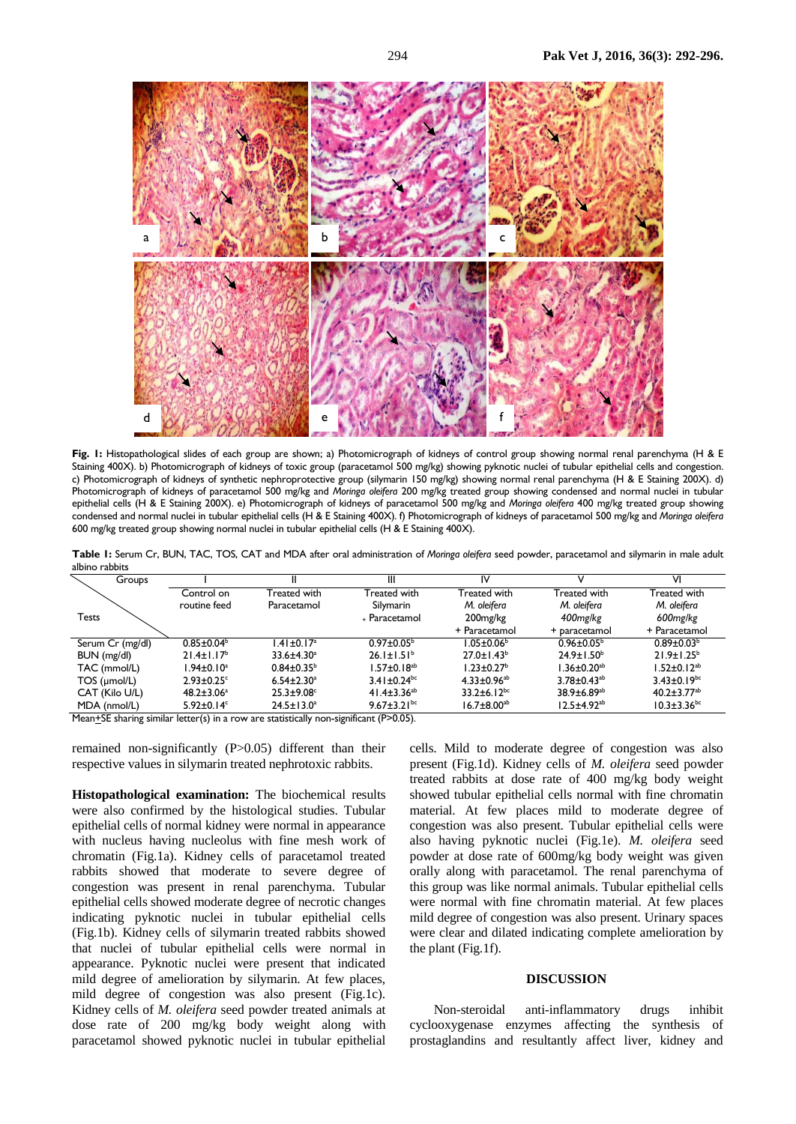

**Fig. 1:** Histopathological slides of each group are shown; a) Photomicrograph of kidneys of control group showing normal renal parenchyma (H & E Staining 400X). b) Photomicrograph of kidneys of toxic group (paracetamol 500 mg/kg) showing pyknotic nuclei of tubular epithelial cells and congestion. c) Photomicrograph of kidneys of synthetic nephroprotective group (silymarin 150 mg/kg) showing normal renal parenchyma (H & E Staining 200X). d) Photomicrograph of kidneys of paracetamol 500 mg/kg and *Moringa oleifera* 200 mg/kg treated group showing condensed and normal nuclei in tubular epithelial cells (H & E Staining 200X). e) Photomicrograph of kidneys of paracetamol 500 mg/kg and *Moringa oleifera* 400 mg/kg treated group showing condensed and normal nuclei in tubular epithelial cells (H & E Staining 400X). f) Photomicrograph of kidneys of paracetamol 500 mg/kg and *Moringa oleifera* 600 mg/kg treated group showing normal nuclei in tubular epithelial cells (H & E Staining 400X).

**Table 1:** Serum Cr, BUN, TAC, TOS, CAT and MDA after oral administration of *Moringa oleifera* seed powder, paracetamol and silymarin in male adult albino rabbits

| Groups             |                              |                              | Ш                             | IV                            |                               | VI                            |
|--------------------|------------------------------|------------------------------|-------------------------------|-------------------------------|-------------------------------|-------------------------------|
|                    | Control on                   | Treated with                 | Treated with                  | Treated with                  | Treated with                  | Treated with                  |
|                    | routine feed                 | Paracetamol                  | Silymarin                     | M. oleifera                   | M. oleifera                   | M. oleifera                   |
| <b>Tests</b>       |                              |                              | + Paracetamol                 | 200 <sub>mg/kg</sub>          | 400mg/kg                      | 600mg/kg                      |
|                    |                              |                              |                               | + Paracetamol                 | + paracetamol                 | + Paracetamol                 |
| Serum Cr (mg/dl)   | $0.85 \pm 0.04^b$            | $1.41 \pm 0.17$ <sup>a</sup> | $0.97 \pm 0.05^{\circ}$       | $1.05 \pm 0.06^{\mathrm{b}}$  | $0.96 \pm 0.05^{\circ}$       | $0.89 \pm 0.03^{\circ}$       |
| BUN (mg/dl)        | $21.4 \pm 1.17^b$            | $33.6 \pm 4.30^a$            | $26.1 \pm 1.51^b$             | $27.0 \pm 1.43^b$             | $24.9 \pm 1.50^{\circ}$       | $21.9 + 1.25^b$               |
| TAC (mmol/L)       | $1.94 \pm 0.10^a$            | $0.84 \pm 0.35^{\circ}$      | $1.57 \pm 0.18^{ab}$          | $1.23 \pm 0.27^{\circ}$       | $1.36 \pm 0.20$ <sup>ab</sup> | $1.52 \pm 0.12^{ab}$          |
| $TOS$ ( $µmol/L$ ) | $2.93 \pm 0.25$ °            | $6.54 \pm 2.30$ <sup>a</sup> | $3.41 \pm 0.24$ <sup>bc</sup> | $4.33 \pm 0.96$ <sup>ab</sup> | $3.78 \pm 0.43$ <sup>ab</sup> | $3.43 \pm 0.19$ <sup>bc</sup> |
| CAT (Kilo U/L)     | $48.2 \pm 3.06^a$            | $25.3 + 9.08$                | 41.4 $\pm$ 3.36 <sup>ab</sup> | $33.2 \pm 6.12^{bc}$          | $38.9 \pm 6.89$ <sup>ab</sup> | $40.2 \pm 3.77$ <sup>ab</sup> |
| MDA (nmol/L)       | $5.92 \pm 0.14$ <sup>c</sup> | $24.5 \pm 13.0^a$            | 9.67 $\pm$ 3.21 <sup>bc</sup> | $16.7 \pm 8.00^{ab}$          | $12.5 \pm 4.92^{ab}$          | $10.3 \pm 3.36$ <sup>bc</sup> |

Mean<sup>+</sup>SE sharing similar letter(s) in a row are statistically non-significant (P>0.05).

remained non-significantly (P>0.05) different than their respective values in silymarin treated nephrotoxic rabbits.

**Histopathological examination:** The biochemical results were also confirmed by the histological studies. Tubular epithelial cells of normal kidney were normal in appearance with nucleus having nucleolus with fine mesh work of chromatin (Fig.1a). Kidney cells of paracetamol treated rabbits showed that moderate to severe degree of congestion was present in renal parenchyma. Tubular epithelial cells showed moderate degree of necrotic changes indicating pyknotic nuclei in tubular epithelial cells (Fig.1b). Kidney cells of silymarin treated rabbits showed that nuclei of tubular epithelial cells were normal in appearance. Pyknotic nuclei were present that indicated mild degree of amelioration by silymarin. At few places, mild degree of congestion was also present (Fig.1c). Kidney cells of *M. oleifera* seed powder treated animals at dose rate of 200 mg/kg body weight along with paracetamol showed pyknotic nuclei in tubular epithelial

cells. Mild to moderate degree of congestion was also present (Fig.1d). Kidney cells of *M. oleifera* seed powder treated rabbits at dose rate of 400 mg/kg body weight showed tubular epithelial cells normal with fine chromatin material. At few places mild to moderate degree of congestion was also present. Tubular epithelial cells were also having pyknotic nuclei (Fig.1e). *M. oleifera* seed powder at dose rate of 600mg/kg body weight was given orally along with paracetamol. The renal parenchyma of this group was like normal animals. Tubular epithelial cells were normal with fine chromatin material. At few places mild degree of congestion was also present. Urinary spaces were clear and dilated indicating complete amelioration by the plant (Fig.1f).

### **DISCUSSION**

Non-steroidal anti-inflammatory drugs inhibit cyclooxygenase enzymes affecting the synthesis of prostaglandins and resultantly affect liver, kidney and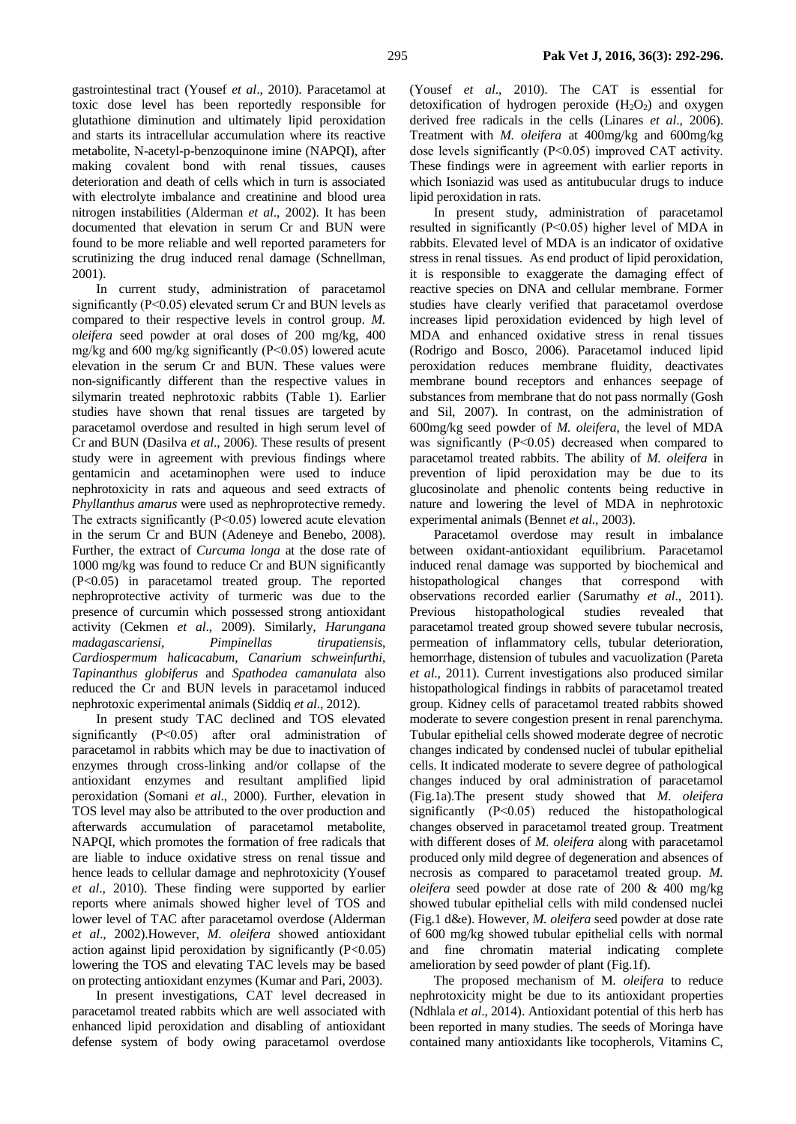gastrointestinal tract (Yousef *et al*., 2010). Paracetamol at toxic dose level has been reportedly responsible for glutathione diminution and ultimately lipid peroxidation and starts its intracellular accumulation where its reactive metabolite, N-acetyl-p-benzoquinone imine (NAPQI), after making covalent bond with renal tissues, causes deterioration and death of cells which in turn is associated with electrolyte imbalance and creatinine and blood urea nitrogen instabilities (Alderman *et al*., 2002). It has been documented that elevation in serum Cr and BUN were found to be more reliable and well reported parameters for scrutinizing the drug induced renal damage (Schnellman, 2001).

In current study, administration of paracetamol significantly (P˂0.05) elevated serum Cr and BUN levels as compared to their respective levels in control group. *M. oleifera* seed powder at oral doses of 200 mg/kg, 400 mg/kg and 600 mg/kg significantly (P˂0.05) lowered acute elevation in the serum Cr and BUN. These values were non-significantly different than the respective values in silymarin treated nephrotoxic rabbits (Table 1). Earlier studies have shown that renal tissues are targeted by paracetamol overdose and resulted in high serum level of Cr and BUN (Dasilva *et al*., 2006). These results of present study were in agreement with previous findings where gentamicin and acetaminophen were used to induce nephrotoxicity in rats and aqueous and seed extracts of *Phyllanthus amarus* were used as nephroprotective remedy. The extracts significantly (P˂0.05) lowered acute elevation in the serum Cr and BUN (Adeneye and Benebo, 2008). Further, the extract of *Curcuma longa* at the dose rate of 1000 mg/kg was found to reduce Cr and BUN significantly (P<0.05) in paracetamol treated group. The reported nephroprotective activity of turmeric was due to the presence of curcumin which possessed strong antioxidant activity (Cekmen *et al*., 2009). Similarly, *Harungana madagascariensi*, *Pimpinellas tirupatiensis*, *Cardiospermum halicacabum*, *Canarium schweinfurthi*, *Tapinanthus globiferus* and *Spathodea camanulata* also reduced the Cr and BUN levels in paracetamol induced nephrotoxic experimental animals (Siddiq *et al*., 2012).

In present study TAC declined and TOS elevated significantly (P˂0.05) after oral administration of paracetamol in rabbits which may be due to inactivation of enzymes through cross-linking and/or collapse of the antioxidant enzymes and resultant amplified lipid peroxidation (Somani *et al*., 2000). Further, elevation in TOS level may also be attributed to the over production and afterwards accumulation of paracetamol metabolite, NAPQI, which promotes the formation of free radicals that are liable to induce oxidative stress on renal tissue and hence leads to cellular damage and nephrotoxicity (Yousef *et al*., 2010). These finding were supported by earlier reports where animals showed higher level of TOS and lower level of TAC after paracetamol overdose (Alderman *et al*., 2002).However, *M. oleifera* showed antioxidant action against lipid peroxidation by significantly (P<0.05) lowering the TOS and elevating TAC levels may be based on protecting antioxidant enzymes (Kumar and Pari, 2003).

In present investigations, CAT level decreased in paracetamol treated rabbits which are well associated with enhanced lipid peroxidation and disabling of antioxidant defense system of body owing paracetamol overdose (Yousef *et al*., 2010). The CAT is essential for detoxification of hydrogen peroxide  $(H_2O_2)$  and oxygen derived free radicals in the cells (Linares *et al*., 2006). Treatment with *M. oleifera* at 400mg/kg and 600mg/kg dose levels significantly (P˂0.05) improved CAT activity. These findings were in agreement with earlier reports in which Isoniazid was used as antitubucular drugs to induce lipid peroxidation in rats.

In present study, administration of paracetamol resulted in significantly (P˂0.05) higher level of MDA in rabbits. Elevated level of MDA is an indicator of oxidative stress in renal tissues. As end product of lipid peroxidation, it is responsible to exaggerate the damaging effect of reactive species on DNA and cellular membrane. Former studies have clearly verified that paracetamol overdose increases lipid peroxidation evidenced by high level of MDA and enhanced oxidative stress in renal tissues (Rodrigo and Bosco, 2006). Paracetamol induced lipid peroxidation reduces membrane fluidity, deactivates membrane bound receptors and enhances seepage of substances from membrane that do not pass normally (Gosh and Sil, 2007). In contrast, on the administration of 600mg/kg seed powder of *M. oleifera*, the level of MDA was significantly (P˂0.05) decreased when compared to paracetamol treated rabbits. The ability of *M. oleifera* in prevention of lipid peroxidation may be due to its glucosinolate and phenolic contents being reductive in nature and lowering the level of MDA in nephrotoxic experimental animals (Bennet *et al*., 2003).

Paracetamol overdose may result in imbalance between oxidant-antioxidant equilibrium. Paracetamol induced renal damage was supported by biochemical and histopathological changes that correspond with observations recorded earlier (Sarumathy *et al*., 2011). Previous histopathological studies revealed that paracetamol treated group showed severe tubular necrosis, permeation of inflammatory cells, tubular deterioration, hemorrhage, distension of tubules and vacuolization (Pareta *et al*., 2011). Current investigations also produced similar histopathological findings in rabbits of paracetamol treated group. Kidney cells of paracetamol treated rabbits showed moderate to severe congestion present in renal parenchyma. Tubular epithelial cells showed moderate degree of necrotic changes indicated by condensed nuclei of tubular epithelial cells. It indicated moderate to severe degree of pathological changes induced by oral administration of paracetamol (Fig.1a).The present study showed that *M. oleifera* significantly (P˂0.05) reduced the histopathological changes observed in paracetamol treated group. Treatment with different doses of *M. oleifera* along with paracetamol produced only mild degree of degeneration and absences of necrosis as compared to paracetamol treated group. *M. oleifera* seed powder at dose rate of 200 & 400 mg/kg showed tubular epithelial cells with mild condensed nuclei (Fig.1 d&e). However, *M. oleifera* seed powder at dose rate of 600 mg/kg showed tubular epithelial cells with normal and fine chromatin material indicating complete amelioration by seed powder of plant (Fig.1f).

The proposed mechanism of M*. oleifera* to reduce nephrotoxicity might be due to its antioxidant properties (Ndhlala *et al*., [2014\)](http://onlinelibrary.wiley.com/doi/10.1002/ptr.5325/full#ptr5325-bib-0042). Antioxidant potential of this herb has been reported in many studies. The seeds of Moringa have contained many antioxidants like tocopherols, Vitamins C,